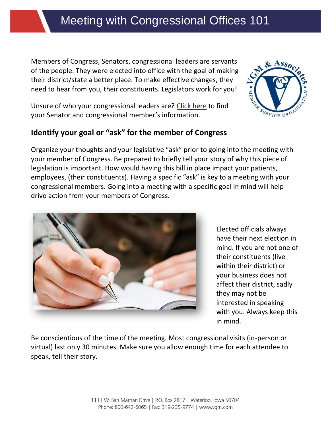# Meeting with Congressional Offices 101

Members of Congress, Senators, congressional leaders are servants of the people. They were elected into office with the goal of making their district/state a better place. To make effective changes, they need to hear from you, their constituents. Legislators work for you!

Unsure of who your congressional leaders are? [Click here](https://vgm-dc-link.rallycongress.net/congress) to find your Senator and congressional member's information.

#### **Identify your goal or "ask" for the member of Congress**

Organize your thoughts and your legislative "ask" prior to going into the meeting with your member of Congress. Be prepared to briefly tell your story of why this piece of legislation is important. How would having this bill in place impact your patients, employees, (their constituents). Having a specific "ask" is key to a meeting with your congressional members. Going into a meeting with a specific goal in mind will help drive action from your members of Congress.

> Elected officials always have their next election in mind. If you are not one of their constituents (live within their district) or your business does not affect their district, sadly they may not be interested in speaking with you. Always keep this in mind.

Be conscientious of the time of the meeting. Most congressional visits (in-person or virtual) last only 30 minutes. Make sure you allow enough time for each attendee to speak, tell their story.



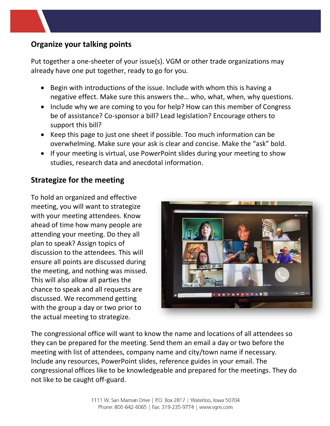## **Organize your talking points**

Put together a one-sheeter of your issue(s). VGM or other trade organizations may already have one put together, ready to go for you.

- Begin with introductions of the issue. Include with whom this is having a negative effect. Make sure this answers the… who, what, when, why questions.
- Include why we are coming to you for help? How can this member of Congress be of assistance? Co-sponsor a bill? Lead legislation? Encourage others to support this bill?
- Keep this page to just one sheet if possible. Too much information can be overwhelming. Make sure your ask is clear and concise. Make the "ask" bold.
- If your meeting is virtual, use PowerPoint slides during your meeting to show studies, research data and anecdotal information.

#### **Strategize for the meeting**

To hold an organized and effective meeting, you will want to strategize with your meeting attendees. Know ahead of time how many people are attending your meeting. Do they all plan to speak? Assign topics of discussion to the attendees. This will ensure all points are discussed during the meeting, and nothing was missed. This will also allow all parties the chance to speak and all requests are discussed. We recommend getting with the group a day or two prior to the actual meeting to strategize.



The congressional office will want to know the name and locations of all attendees so they can be prepared for the meeting. Send them an email a day or two before the meeting with list of attendees, company name and city/town name if necessary. Include any resources, PowerPoint slides, reference guides in your email. The congressional offices like to be knowledgeable and prepared for the meetings. They do not like to be caught off-guard.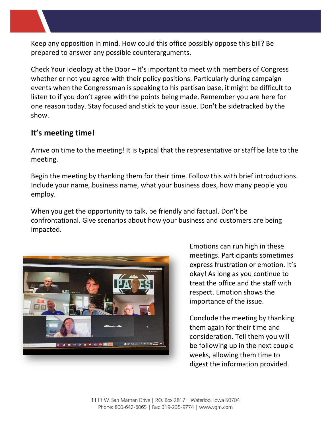Keep any opposition in mind. How could this office possibly oppose this bill? Be prepared to answer any possible counterarguments.

Check Your Ideology at the Door – It's important to meet with members of Congress whether or not you agree with their policy positions. Particularly during campaign events when the Congressman is speaking to his partisan base, it might be difficult to listen to if you don't agree with the points being made. Remember you are here for one reason today. Stay focused and stick to your issue. Don't be sidetracked by the show.

## **It's meeting time!**

Arrive on time to the meeting! It is typical that the representative or staff be late to the meeting.

Begin the meeting by thanking them for their time. Follow this with brief introductions. Include your name, business name, what your business does, how many people you employ.

When you get the opportunity to talk, be friendly and factual. Don't be confrontational. Give scenarios about how your business and customers are being impacted.



Emotions can run high in these meetings. Participants sometimes express frustration or emotion. It's okay! As long as you continue to treat the office and the staff with respect. Emotion shows the importance of the issue.

Conclude the meeting by thanking them again for their time and consideration. Tell them you will be following up in the next couple weeks, allowing them time to digest the information provided.